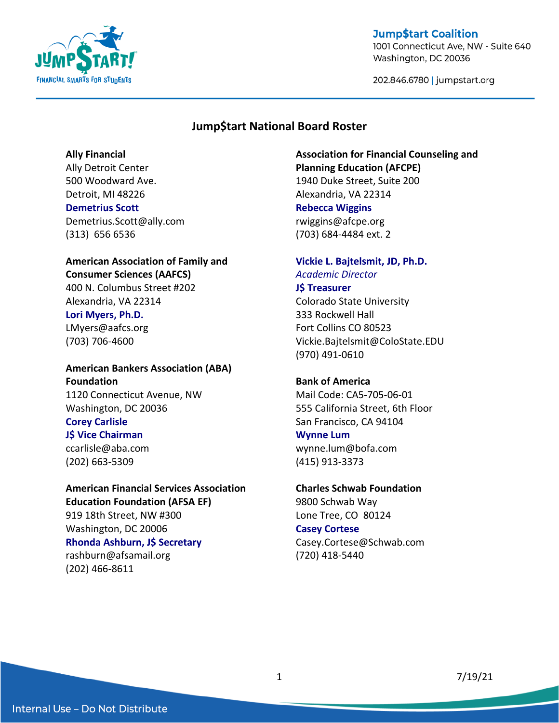

1001 Connecticut Ave, NW - Suite 640 Washington, DC 20036

202.846.6780 | jumpstart.org

### **Jump\$tart National Board Roster**

#### **Ally Financial**

Ally Detroit Center 500 Woodward Ave. Detroit, MI 48226 **Demetrius Scott** Demetrius.Scott@ally.com (313) 656 6536

## **American Association of Family and Consumer Sciences (AAFCS)**

400 N. Columbus Street #202 Alexandria, VA 22314

#### **Lori Myers, Ph.D.**

LMyers@aafcs.org (703) 706-4600

### **American Bankers Association (ABA) Foundation** 1120 Connecticut Avenue, NW Washington, DC 20036 **Corey Carlisle J\$ Vice Chairman**

ccarlisle@aba.com (202) 663-5309

## **American Financial Services Association Education Foundation (AFSA EF)** 919 18th Street, NW #300

Washington, DC 20006 **Rhonda Ashburn, J\$ Secretary** rashburn@afsamail.org (202) 466-8611

### **Association for Financial Counseling and Planning Education (AFCPE)** 1940 Duke Street, Suite 200 Alexandria, VA 22314 **Rebecca Wiggins** rwiggins@afcpe.org (703) 684-4484 ext. 2

## **Vickie L. Bajtelsmit, JD, Ph.D.** *Academic Director*

### **J\$ Treasurer** Colorado State University 333 Rockwell Hall Fort Collins CO 80523 Vickie.Bajtelsmit@ColoState.EDU (970) 491-0610

### **Bank of America**

Mail Code: CA5-705-06-01 555 California Street, 6th Floor San Francisco, CA 94104

### **Wynne Lum**

wynne.lum@bofa.com (415) 913-3373

#### **Charles Schwab Foundation**

9800 Schwab Way Lone Tree, CO 80124

### **Casey Cortese**

Casey.Cortese@Schwab.com (720) 418-5440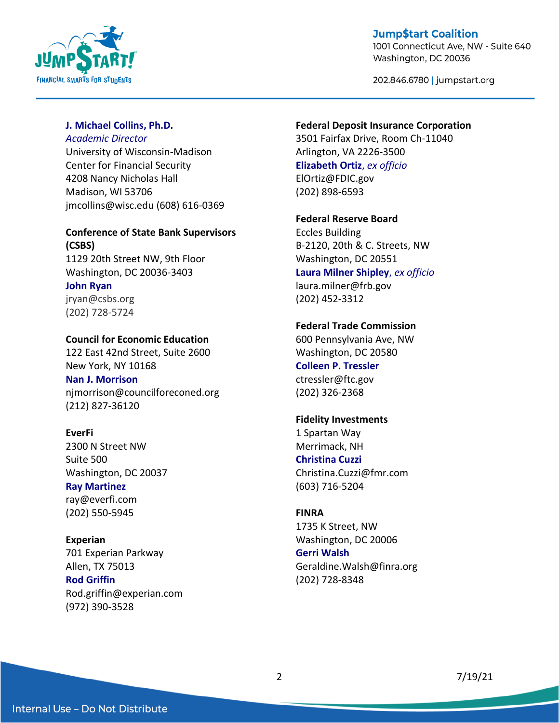

1001 Connecticut Ave, NW - Suite 640 Washington, DC 20036

202.846.6780 | jumpstart.org

#### **J. Michael Collins, Ph.D.**

#### *Academic Director*

University of Wisconsin-Madison Center for Financial Security 4208 Nancy Nicholas Hall Madison, WI 53706 jmcollins@wisc.edu (608) 616-0369

## **Conference of State Bank Supervisors (CSBS)**

1129 20th Street NW, 9th Floor Washington, DC 20036-3403 **John Ryan** jryan@csbs.org (202) 728-5724

### **Council for Economic Education**

122 East 42nd Street, Suite 2600 New York, NY 10168 **Nan J. Morrison** njmorrison@councilforeconed.org (212) 827-36120

### **EverFi** 2300 N Street NW Suite 500 Washington, DC 20037

**Ray Martinez** ray@everfi.com (202) 550-5945

**Experian** 701 Experian Parkway Allen, TX 75013 **Rod Griffin** Rod.griffin@experian.com (972) 390-3528

#### **Federal Deposit Insurance Corporation**

3501 Fairfax Drive, Room Ch-11040 Arlington, VA 2226-3500 **Elizabeth Ortiz**, *ex officio* ElOrtiz@FDIC.gov (202) 898-6593

**Federal Reserve Board**

Eccles Building B-2120, 20th & C. Streets, NW Washington, DC 20551 **Laura Milner Shipley**, *ex officio* laura.milner@frb.gov (202) 452-3312

### **Federal Trade Commission**

600 Pennsylvania Ave, NW Washington, DC 20580 **Colleen P. Tressler** ctressler@ftc.gov (202) 326-2368

### **Fidelity Investments**

1 Spartan Way Merrimack, NH **Christina Cuzzi** Christina.Cuzzi@fmr.com (603) 716-5204

#### **FINRA**

1735 K Street, NW Washington, DC 20006 **Gerri Walsh** Geraldine.Walsh@finra.org (202) 728-8348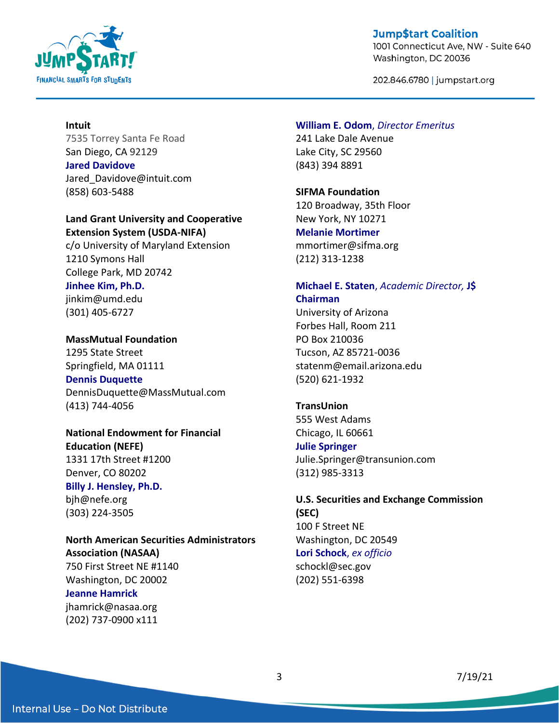

1001 Connecticut Ave, NW - Suite 640 Washington, DC 20036

202.846.6780 | jumpstart.org

#### **Intuit**

7535 Torrey Santa Fe Road San Diego, CA 92129

**Jared Davidove** Jared Davidove@intuit.com (858) 603-5488

#### **Land Grant University and Cooperative Extension System (USDA-NIFA)**

c/o University of Maryland Extension 1210 Symons Hall College Park, MD 20742

## **Jinhee Kim, Ph.D.**

jinkim@umd.edu (301) 405-6727

**MassMutual Foundation** 1295 State Street Springfield, MA 01111 **Dennis Duquette** DennisDuquette@MassMutual.com (413) 744-4056

**National Endowment for Financial Education (NEFE)** 1331 17th Street #1200 Denver, CO 80202 **Billy J. Hensley, Ph.D.** bjh@nefe.org

(303) 224-3505

### **North American Securities Administrators Association (NASAA)** 750 First Street NE #1140

Washington, DC 20002

### **Jeanne Hamrick**

jhamrick@nasaa.org (202) 737-0900 x111

#### **William E. Odom**, *Director Emeritus*

241 Lake Dale Avenue Lake City, SC 29560 (843) 394 8891

#### **SIFMA Foundation**

120 Broadway, 35th Floor New York, NY 10271 **Melanie Mortimer** mmortimer@sifma.org (212) 313-1238

## **Michael E. Staten**, *Academic Director,* **J\$ Chairman**

University of Arizona Forbes Hall, Room 211 PO Box 210036 Tucson, AZ 85721-0036 statenm@email.arizona.edu (520) 621-1932

#### **TransUnion**

555 West Adams Chicago, IL 60661

### **Julie Springer**

Julie.Springer@transunion.com (312) 985-3313

## **U.S. Securities and Exchange Commission (SEC)** 100 F Street NE

Washington, DC 20549 **Lori Schock**, *ex officio* schockl@sec.gov (202) 551-6398